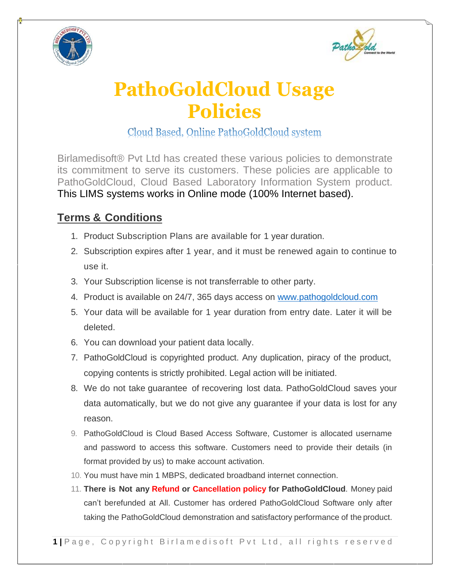



## **PathoGoldCloud Usage Policies**

Cloud Based, Online PathoGoldCloud system

Birlamedisoft® Pvt Ltd has created these various policies to demonstrate its commitment to serve its customers. These policies are applicable to PathoGoldCloud, Cloud Based Laboratory Information System product. This LIMS systems works in Online mode (100% Internet based).

## **Terms & Conditions**

- 1. Product Subscription Plans are available for 1 year duration.
- 2. Subscription expires after 1 year, and it must be renewed again to continue to use it.
- 3. Your Subscription license is not transferrable to other party.
- 4. Product is available on 24/7, 365 days access on [www.pathogoldcloud.com](http://www.pathogoldcloud.com/)
- 5. Your data will be available for 1 year duration from entry date. Later it will be deleted.
- 6. You can download your patient data locally.
- 7. PathoGoldCloud is copyrighted product. Any duplication, piracy of the product, copying contents is strictly prohibited. Legal action will be initiated.
- 8. We do not take guarantee of recovering lost data. PathoGoldCloud saves your data automatically, but we do not give any guarantee if your data is lost for any reason.
- 9. PathoGoldCloud is Cloud Based Access Software, Customer is allocated username and password to access this software. Customers need to provide their details (in format provided by us) to make account activation.
- 10. You must have min 1 MBPS, dedicated broadband internet connection.
- 11. **There is Not any Refund or Cancellation policy for PathoGoldCloud**. Money paid can't berefunded at All. Customer has ordered PathoGoldCloud Software only after taking the PathoGoldCloud demonstration and satisfactory performance of the product.